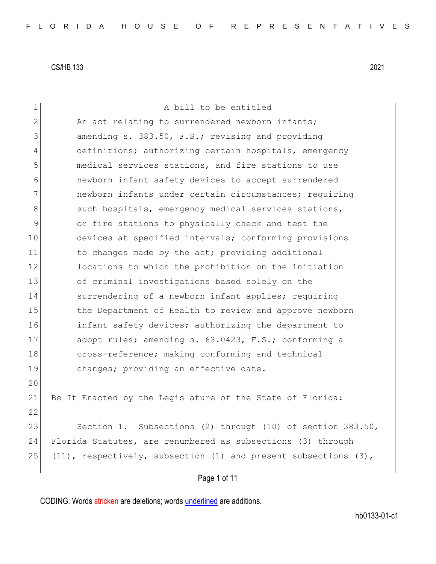| $\mathbf 1$  | A bill to be entitled                                                   |
|--------------|-------------------------------------------------------------------------|
| $\mathbf{2}$ | An act relating to surrendered newborn infants;                         |
| 3            | amending s. 383.50, F.S.; revising and providing                        |
| 4            | definitions; authorizing certain hospitals, emergency                   |
| 5            | medical services stations, and fire stations to use                     |
| 6            | newborn infant safety devices to accept surrendered                     |
| 7            | newborn infants under certain circumstances; requiring                  |
| $\,8\,$      | such hospitals, emergency medical services stations,                    |
| 9            | or fire stations to physically check and test the                       |
| 10           | devices at specified intervals; conforming provisions                   |
| 11           | to changes made by the act; providing additional                        |
| 12           | locations to which the prohibition on the initiation                    |
| 13           | of criminal investigations based solely on the                          |
| 14           | surrendering of a newborn infant applies; requiring                     |
| 15           | the Department of Health to review and approve newborn                  |
| 16           | infant safety devices; authorizing the department to                    |
| 17           | adopt rules; amending s. 63.0423, F.S.; conforming a                    |
| 18           | cross-reference; making conforming and technical                        |
| 19           | changes; providing an effective date.                                   |
| 20           |                                                                         |
| 21           | Be It Enacted by the Legislature of the State of Florida:               |
| 22           |                                                                         |
| 23           | Section 1. Subsections (2) through (10) of section 383.50,              |
| 24           | Florida Statutes, are renumbered as subsections (3) through             |
| 25           | $(11)$ , respectively, subsection $(1)$ and present subsections $(3)$ , |
|              | Page 1 of 11                                                            |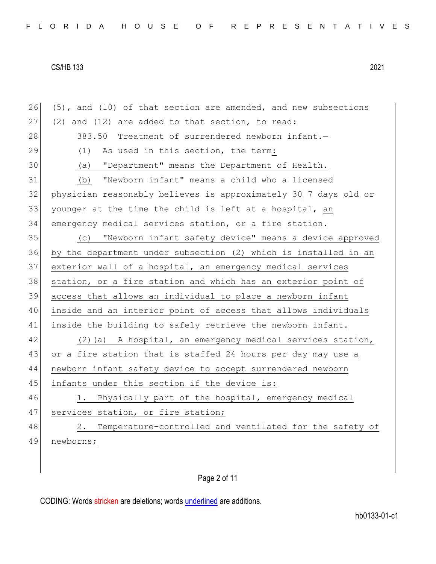| 26 | (5), and (10) of that section are amended, and new subsections              |
|----|-----------------------------------------------------------------------------|
| 27 | (2) and (12) are added to that section, to read:                            |
| 28 | 383.50 Treatment of surrendered newborn infant.-                            |
| 29 | As used in this section, the term:<br>(1)                                   |
| 30 | (a) "Department" means the Department of Health.                            |
| 31 | "Newborn infant" means a child who a licensed<br>(b)                        |
| 32 | physician reasonably believes is approximately 30 $\frac{1}{7}$ days old or |
| 33 | younger at the time the child is left at a hospital, an                     |
| 34 | emergency medical services station, or a fire station.                      |
| 35 | "Newborn infant safety device" means a device approved<br>(C)               |
| 36 | by the department under subsection (2) which is installed in an             |
| 37 | exterior wall of a hospital, an emergency medical services                  |
| 38 | station, or a fire station and which has an exterior point of               |
| 39 | access that allows an individual to place a newborn infant                  |
| 40 | inside and an interior point of access that allows individuals              |
| 41 | inside the building to safely retrieve the newborn infant.                  |
| 42 | (2) (a) A hospital, an emergency medical services station,                  |
| 43 | or a fire station that is staffed 24 hours per day may use a                |
| 44 | newborn infant safety device to accept surrendered newborn                  |
| 45 | infants under this section if the device is:                                |
| 46 | 1. Physically part of the hospital, emergency medical                       |
| 47 | services station, or fire station;                                          |
| 48 | Temperature-controlled and ventilated for the safety of<br>2.               |
| 49 | newborns;                                                                   |
|    |                                                                             |

Page 2 of 11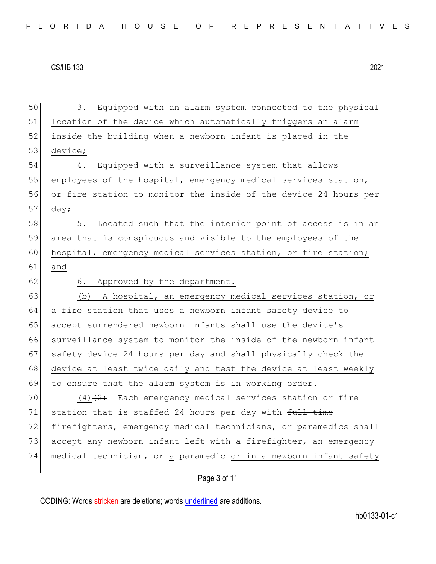| 50 | 3. Equipped with an alarm system connected to the physical       |
|----|------------------------------------------------------------------|
| 51 | location of the device which automatically triggers an alarm     |
| 52 | inside the building when a newborn infant is placed in the       |
| 53 | device;                                                          |
| 54 | Equipped with a surveillance system that allows<br>4.            |
| 55 | employees of the hospital, emergency medical services station,   |
| 56 | or fire station to monitor the inside of the device 24 hours per |
| 57 | day;                                                             |
| 58 | Located such that the interior point of access is in an<br>5.    |
| 59 | area that is conspicuous and visible to the employees of the     |
| 60 | hospital, emergency medical services station, or fire station;   |
| 61 | and                                                              |
| 62 | Approved by the department.<br>6.                                |
| 63 | A hospital, an emergency medical services station, or<br>(b)     |
| 64 | a fire station that uses a newborn infant safety device to       |
| 65 | accept surrendered newborn infants shall use the device's        |
| 66 | surveillance system to monitor the inside of the newborn infant  |
| 67 | safety device 24 hours per day and shall physically check the    |
| 68 | device at least twice daily and test the device at least weekly  |
| 69 | to ensure that the alarm system is in working order.             |
| 70 | $(4)$ $(3)$ Each emergency medical services station or fire      |
| 71 | station that is staffed 24 hours per day with full-time          |
| 72 | firefighters, emergency medical technicians, or paramedics shall |
| 73 |                                                                  |
|    | accept any newborn infant left with a firefighter, an emergency  |
| 74 | medical technician, or a paramedic or in a newborn infant safety |

# Page 3 of 11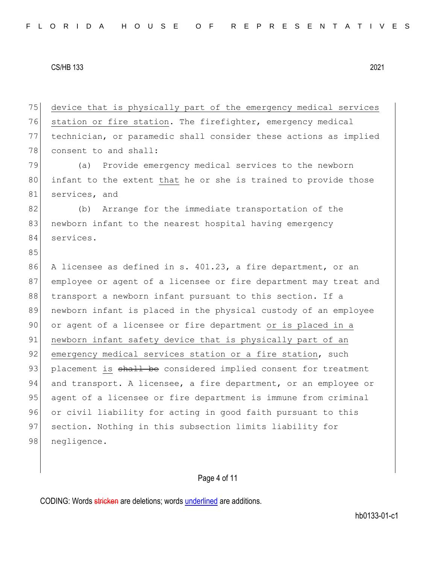75 device that is physically part of the emergency medical services 76 station or fire station. The firefighter, emergency medical 77 technician, or paramedic shall consider these actions as implied 78 consent to and shall: 79 (a) Provide emergency medical services to the newborn 80 infant to the extent that he or she is trained to provide those 81 services, and 82 (b) Arrange for the immediate transportation of the 83 newborn infant to the nearest hospital having emergency 84 services. 85 86 A licensee as defined in s. 401.23, a fire department, or an 87 employee or agent of a licensee or fire department may treat and 88 transport a newborn infant pursuant to this section. If a 89 newborn infant is placed in the physical custody of an employee 90 or agent of a licensee or fire department or is placed in a 91 newborn infant safety device that is physically part of an 92 emergency medical services station or a fire station, such 93 placement is shall be considered implied consent for treatment 94 and transport. A licensee, a fire department, or an employee or 95 agent of a licensee or fire department is immune from criminal 96 or civil liability for acting in good faith pursuant to this 97 section. Nothing in this subsection limits liability for 98 negligence.

# Page 4 of 11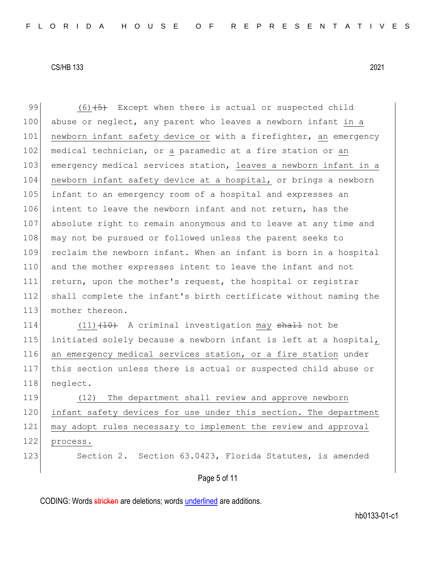99  $(6)$   $\overline{5}$  Except when there is actual or suspected child 100 abuse or neglect, any parent who leaves a newborn infant in a 101 newborn infant safety device or with a firefighter, an emergency 102 medical technician, or a paramedic at a fire station or an 103 emergency medical services station, leaves a newborn infant in a 104 newborn infant safety device at a hospital, or brings a newborn 105 infant to an emergency room of a hospital and expresses an 106 intent to leave the newborn infant and not return, has the 107 absolute right to remain anonymous and to leave at any time and 108 may not be pursued or followed unless the parent seeks to 109 reclaim the newborn infant. When an infant is born in a hospital 110 and the mother expresses intent to leave the infant and not 111 return, upon the mother's request, the hospital or registrar 112 shall complete the infant's birth certificate without naming the 113 mother thereon.

114 (11) (10) A criminal investigation may shall not be 115 initiated solely because a newborn infant is left at a hospital, 116 an emergency medical services station, or a fire station under 117 this section unless there is actual or suspected child abuse or 118 neglect.

119 (12) The department shall review and approve newborn 120 infant safety devices for use under this section. The department 121 may adopt rules necessary to implement the review and approval 122 process.

123 Section 2. Section 63.0423, Florida Statutes, is amended

# Page 5 of 11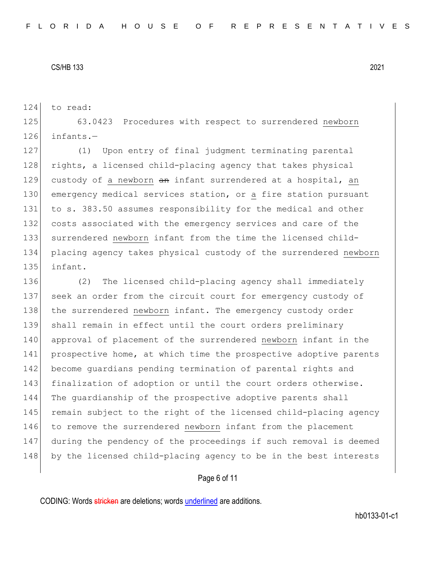124 to read:

125 63.0423 Procedures with respect to surrendered newborn 126 infants.—

127 (1) Upon entry of final judgment terminating parental 128 rights, a licensed child-placing agency that takes physical 129 custody of a newborn an infant surrendered at a hospital, an 130 emergency medical services station, or a fire station pursuant 131 to s. 383.50 assumes responsibility for the medical and other 132 costs associated with the emergency services and care of the 133 surrendered newborn infant from the time the licensed child-134 placing agency takes physical custody of the surrendered newborn 135 infant.

136 (2) The licensed child-placing agency shall immediately 137 seek an order from the circuit court for emergency custody of 138 the surrendered newborn infant. The emergency custody order 139 shall remain in effect until the court orders preliminary 140 approval of placement of the surrendered newborn infant in the 141 prospective home, at which time the prospective adoptive parents 142 become quardians pending termination of parental rights and 143 finalization of adoption or until the court orders otherwise. 144 The guardianship of the prospective adoptive parents shall 145 remain subject to the right of the licensed child-placing agency 146 to remove the surrendered newborn infant from the placement 147 during the pendency of the proceedings if such removal is deemed 148 by the licensed child-placing agency to be in the best interests

# Page 6 of 11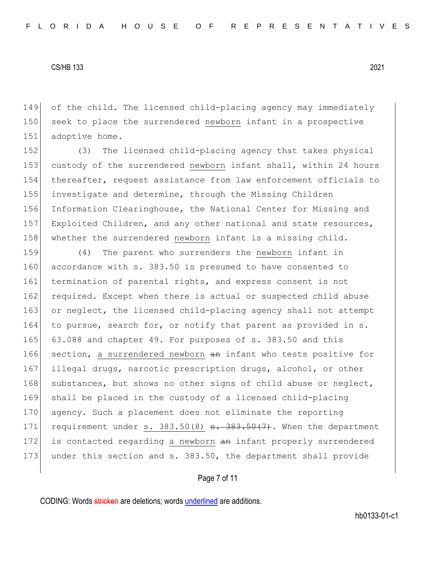149 of the child. The licensed child-placing agency may immediately 150 seek to place the surrendered newborn infant in a prospective 151 adoptive home.

152 (3) The licensed child-placing agency that takes physical 153 custody of the surrendered newborn infant shall, within 24 hours 154 thereafter, request assistance from law enforcement officials to 155 investigate and determine, through the Missing Children 156 Information Clearinghouse, the National Center for Missing and 157 Exploited Children, and any other national and state resources, 158 whether the surrendered newborn infant is a missing child.

159 (4) The parent who surrenders the newborn infant in 160 accordance with s. 383.50 is presumed to have consented to 161 termination of parental rights, and express consent is not 162 required. Except when there is actual or suspected child abuse 163 or neglect, the licensed child-placing agency shall not attempt 164 to pursue, search for, or notify that parent as provided in s. 165 63.088 and chapter 49. For purposes of s. 383.50 and this 166 section, a surrendered newborn an infant who tests positive for 167 illegal drugs, narcotic prescription drugs, alcohol, or other 168 substances, but shows no other signs of child abuse or neglect, 169 shall be placed in the custody of a licensed child-placing 170 agency. Such a placement does not eliminate the reporting 171 requirement under s.  $383.50(8)$  s.  $383.50(7)$ . When the department 172 is contacted regarding a newborn an infant properly surrendered 173 under this section and s. 383.50, the department shall provide

## Page 7 of 11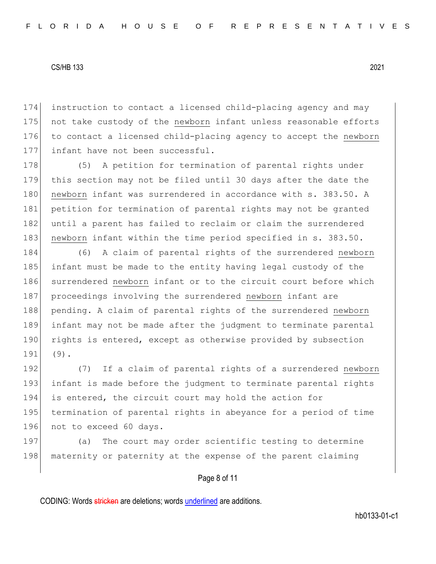instruction to contact a licensed child-placing agency and may 175 not take custody of the newborn infant unless reasonable efforts to contact a licensed child-placing agency to accept the newborn infant have not been successful.

178 (5) A petition for termination of parental rights under 179 this section may not be filed until 30 days after the date the 180 newborn infant was surrendered in accordance with s. 383.50. A 181 petition for termination of parental rights may not be granted 182 until a parent has failed to reclaim or claim the surrendered 183 newborn infant within the time period specified in s. 383.50.

184 (6) A claim of parental rights of the surrendered newborn 185 infant must be made to the entity having legal custody of the 186 surrendered newborn infant or to the circuit court before which 187 proceedings involving the surrendered newborn infant are 188 pending. A claim of parental rights of the surrendered newborn 189 infant may not be made after the judgment to terminate parental 190 rights is entered, except as otherwise provided by subsection 191 (9).

192 (7) If a claim of parental rights of a surrendered newborn 193 infant is made before the judgment to terminate parental rights 194 is entered, the circuit court may hold the action for 195 termination of parental rights in abeyance for a period of time 196 not to exceed 60 days.

197 (a) The court may order scientific testing to determine 198 maternity or paternity at the expense of the parent claiming

# Page 8 of 11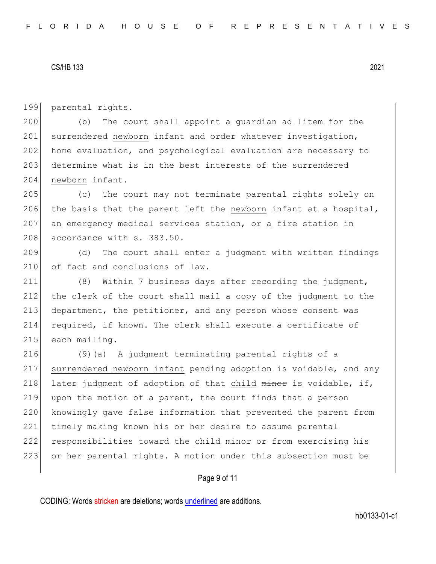199 parental rights.

200 (b) The court shall appoint a guardian ad litem for the 201 surrendered newborn infant and order whatever investigation, 202 home evaluation, and psychological evaluation are necessary to 203 determine what is in the best interests of the surrendered 204 newborn infant.

205 (c) The court may not terminate parental rights solely on 206 the basis that the parent left the newborn infant at a hospital, 207 an emergency medical services station, or a fire station in 208 accordance with s. 383.50.

209 (d) The court shall enter a judgment with written findings 210 of fact and conclusions of law.

211 (8) Within 7 business days after recording the judgment, 212 the clerk of the court shall mail a copy of the judgment to the 213 department, the petitioner, and any person whose consent was 214 required, if known. The clerk shall execute a certificate of 215 each mailing.

216 (9)(a) A judgment terminating parental rights of a 217 surrendered newborn infant pending adoption is voidable, and any 218 later judgment of adoption of that child  $minor$  is voidable, if, 219 upon the motion of a parent, the court finds that a person 220 knowingly gave false information that prevented the parent from 221 timely making known his or her desire to assume parental 222 responsibilities toward the child minor or from exercising his 223 or her parental rights. A motion under this subsection must be

## Page 9 of 11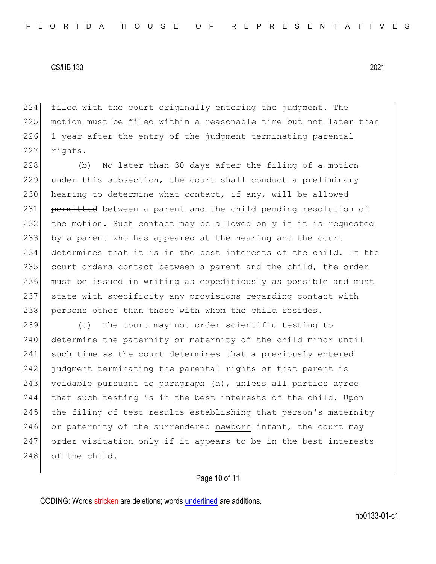224 filed with the court originally entering the judgment. The 225 motion must be filed within a reasonable time but not later than 226 1 year after the entry of the judgment terminating parental 227 rights.

228 (b) No later than 30 days after the filing of a motion 229 under this subsection, the court shall conduct a preliminary 230 hearing to determine what contact, if any, will be allowed 231 permitted between a parent and the child pending resolution of 232 the motion. Such contact may be allowed only if it is requested 233 by a parent who has appeared at the hearing and the court 234 determines that it is in the best interests of the child. If the 235 court orders contact between a parent and the child, the order 236 must be issued in writing as expeditiously as possible and must 237 state with specificity any provisions regarding contact with 238 persons other than those with whom the child resides.

239 (c) The court may not order scientific testing to 240 determine the paternity or maternity of the child minor until 241 such time as the court determines that a previously entered 242 judgment terminating the parental rights of that parent is 243 voidable pursuant to paragraph (a), unless all parties agree 244 that such testing is in the best interests of the child. Upon 245 the filing of test results establishing that person's maternity 246 or paternity of the surrendered newborn infant, the court may 247 order visitation only if it appears to be in the best interests 248 of the child.

# Page 10 of 11